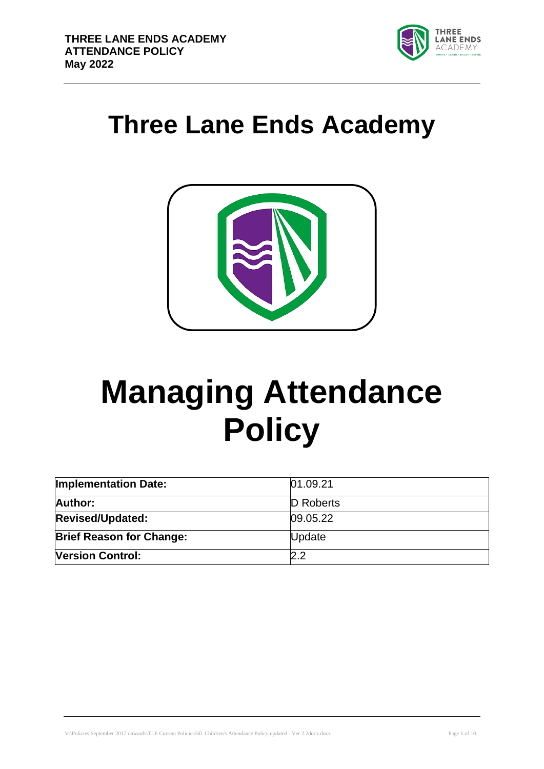

# **Three Lane Ends Academy**



# **Managing Attendance Policy**

| <b>Implementation Date:</b>     | 01.09.21  |  |
|---------------------------------|-----------|--|
| Author:                         | D Roberts |  |
| <b>Revised/Updated:</b>         | 09.05.22  |  |
| <b>Brief Reason for Change:</b> | Update    |  |
| <b>Version Control:</b>         | 2.2       |  |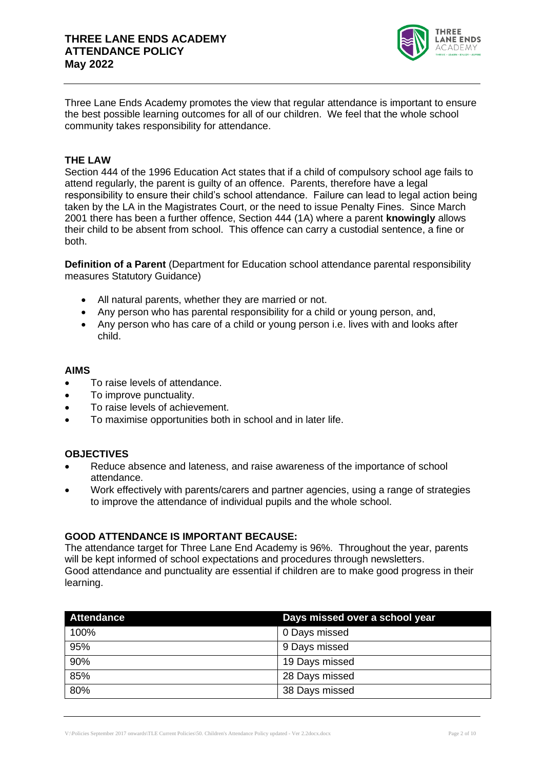

Three Lane Ends Academy promotes the view that regular attendance is important to ensure the best possible learning outcomes for all of our children. We feel that the whole school community takes responsibility for attendance.

#### **THE LAW**

Section 444 of the 1996 Education Act states that if a child of compulsory school age fails to attend regularly, the parent is guilty of an offence. Parents, therefore have a legal responsibility to ensure their child's school attendance. Failure can lead to legal action being taken by the LA in the Magistrates Court, or the need to issue Penalty Fines. Since March 2001 there has been a further offence, Section 444 (1A) where a parent **knowingly** allows their child to be absent from school. This offence can carry a custodial sentence, a fine or both.

**Definition of a Parent** (Department for Education school attendance parental responsibility measures Statutory Guidance)

- All natural parents, whether they are married or not.
- Any person who has parental responsibility for a child or young person, and,
- Any person who has care of a child or young person i.e. lives with and looks after child.

#### **AIMS**

- To raise levels of attendance.
- To improve punctuality.
- To raise levels of achievement.
- To maximise opportunities both in school and in later life.

#### **OBJECTIVES**

- Reduce absence and lateness, and raise awareness of the importance of school attendance.
- Work effectively with parents/carers and partner agencies, using a range of strategies to improve the attendance of individual pupils and the whole school.

#### **GOOD ATTENDANCE IS IMPORTANT BECAUSE:**

The attendance target for Three Lane End Academy is 96%. Throughout the year, parents will be kept informed of school expectations and procedures through newsletters. Good attendance and punctuality are essential if children are to make good progress in their learning.

| <b>Attendance</b> | Days missed over a school year |  |
|-------------------|--------------------------------|--|
| 100%              | 0 Days missed                  |  |
| 95%               | 9 Days missed                  |  |
| 90%               | 19 Days missed                 |  |
| 85%               | 28 Days missed                 |  |
| 80%               | 38 Days missed                 |  |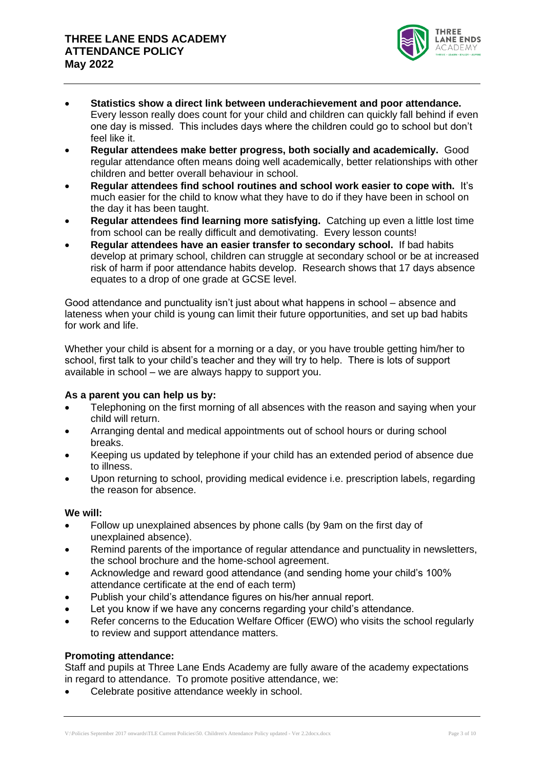

- **Statistics show a direct link between underachievement and poor attendance.** Every lesson really does count for your child and children can quickly fall behind if even one day is missed. This includes days where the children could go to school but don't feel like it.
- **Regular attendees make better progress, both socially and academically.** Good regular attendance often means doing well academically, better relationships with other children and better overall behaviour in school.
- **Regular attendees find school routines and school work easier to cope with.** It's much easier for the child to know what they have to do if they have been in school on the day it has been taught.
- **Regular attendees find learning more satisfying.** Catching up even a little lost time from school can be really difficult and demotivating. Every lesson counts!
- **Regular attendees have an easier transfer to secondary school.** If bad habits develop at primary school, children can struggle at secondary school or be at increased risk of harm if poor attendance habits develop. Research shows that 17 days absence equates to a drop of one grade at GCSE level.

Good attendance and punctuality isn't just about what happens in school – absence and lateness when your child is young can limit their future opportunities, and set up bad habits for work and life.

Whether your child is absent for a morning or a day, or you have trouble getting him/her to school, first talk to your child's teacher and they will try to help. There is lots of support available in school – we are always happy to support you.

#### **As a parent you can help us by:**

- Telephoning on the first morning of all absences with the reason and saying when your child will return.
- Arranging dental and medical appointments out of school hours or during school breaks.
- Keeping us updated by telephone if your child has an extended period of absence due to illness.
- Upon returning to school, providing medical evidence i.e. prescription labels, regarding the reason for absence.

#### **We will:**

- Follow up unexplained absences by phone calls (by 9am on the first day of unexplained absence).
- Remind parents of the importance of regular attendance and punctuality in newsletters, the school brochure and the home-school agreement.
- Acknowledge and reward good attendance (and sending home your child's 100% attendance certificate at the end of each term)
- Publish your child's attendance figures on his/her annual report.
- Let you know if we have any concerns regarding your child's attendance.
- Refer concerns to the Education Welfare Officer (EWO) who visits the school regularly to review and support attendance matters.

#### **Promoting attendance:**

Staff and pupils at Three Lane Ends Academy are fully aware of the academy expectations in regard to attendance. To promote positive attendance, we:

Celebrate positive attendance weekly in school.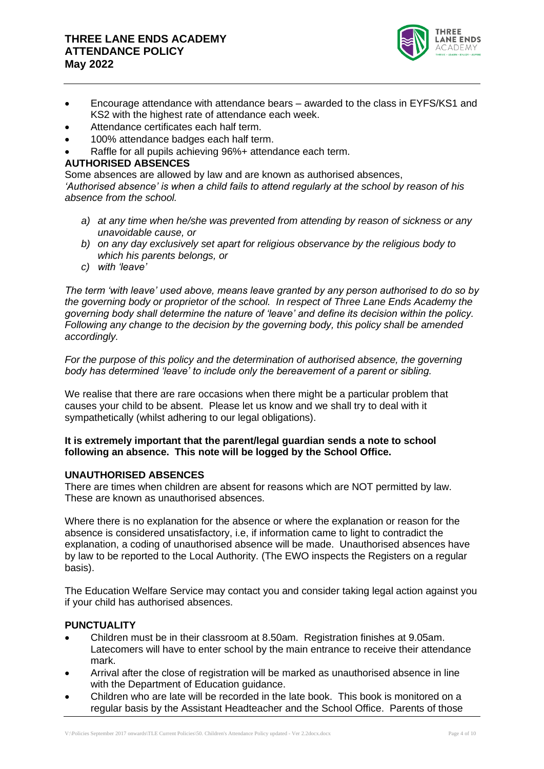# **THREE LANE ENDS ACADEMY ATTENDANCE POLICY May 2022**



- Encourage attendance with attendance bears awarded to the class in EYFS/KS1 and KS2 with the highest rate of attendance each week.
- Attendance certificates each half term.
- 100% attendance badges each half term.
- Raffle for all pupils achieving 96%+ attendance each term.

#### **AUTHORISED ABSENCES**

Some absences are allowed by law and are known as authorised absences, *'Authorised absence' is when a child fails to attend regularly at the school by reason of his absence from the school.*

- *a) at any time when he/she was prevented from attending by reason of sickness or any unavoidable cause, or*
- *b) on any day exclusively set apart for religious observance by the religious body to which his parents belongs, or*
- *c) with 'leave'*

*The term 'with leave' used above, means leave granted by any person authorised to do so by the governing body or proprietor of the school. In respect of Three Lane Ends Academy the governing body shall determine the nature of 'leave' and define its decision within the policy. Following any change to the decision by the governing body, this policy shall be amended accordingly.*

*For the purpose of this policy and the determination of authorised absence, the governing body has determined 'leave' to include only the bereavement of a parent or sibling.*

We realise that there are rare occasions when there might be a particular problem that causes your child to be absent. Please let us know and we shall try to deal with it sympathetically (whilst adhering to our legal obligations).

#### **It is extremely important that the parent/legal guardian sends a note to school following an absence. This note will be logged by the School Office.**

#### **UNAUTHORISED ABSENCES**

There are times when children are absent for reasons which are NOT permitted by law. These are known as unauthorised absences.

Where there is no explanation for the absence or where the explanation or reason for the absence is considered unsatisfactory, i.e, if information came to light to contradict the explanation, a coding of unauthorised absence will be made. Unauthorised absences have by law to be reported to the Local Authority. (The EWO inspects the Registers on a regular basis).

The Education Welfare Service may contact you and consider taking legal action against you if your child has authorised absences.

#### **PUNCTUALITY**

- Children must be in their classroom at 8.50am. Registration finishes at 9.05am. Latecomers will have to enter school by the main entrance to receive their attendance mark.
- Arrival after the close of registration will be marked as unauthorised absence in line with the Department of Education guidance.
- Children who are late will be recorded in the late book. This book is monitored on a regular basis by the Assistant Headteacher and the School Office. Parents of those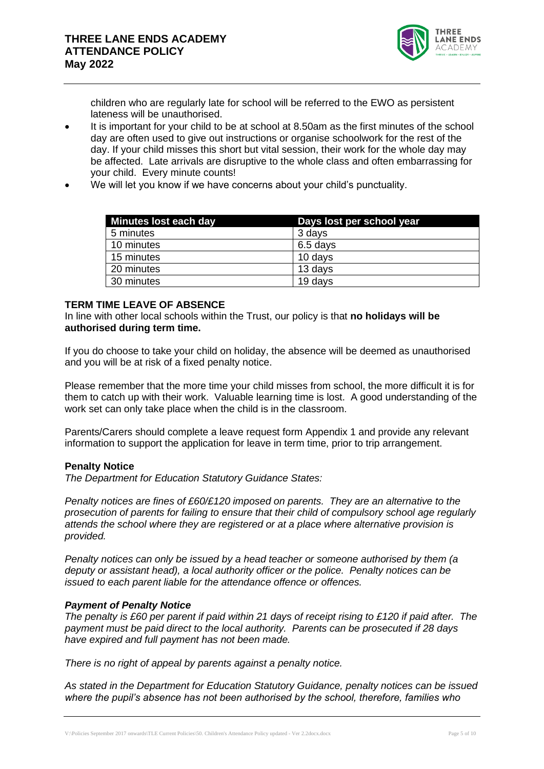

children who are regularly late for school will be referred to the EWO as persistent lateness will be unauthorised.

- It is important for your child to be at school at 8.50am as the first minutes of the school day are often used to give out instructions or organise schoolwork for the rest of the day. If your child misses this short but vital session, their work for the whole day may be affected. Late arrivals are disruptive to the whole class and often embarrassing for your child. Every minute counts!
- We will let you know if we have concerns about your child's punctuality.

| Minutes lost each day | Days lost per school year |
|-----------------------|---------------------------|
| 5 minutes             | 3 days                    |
| 10 minutes            | 6.5 days                  |
| 15 minutes            | 10 days                   |
| 20 minutes            | 13 days                   |
| 30 minutes            | 19 days                   |

#### **TERM TIME LEAVE OF ABSENCE**

In line with other local schools within the Trust, our policy is that **no holidays will be authorised during term time.**

If you do choose to take your child on holiday, the absence will be deemed as unauthorised and you will be at risk of a fixed penalty notice.

Please remember that the more time your child misses from school, the more difficult it is for them to catch up with their work. Valuable learning time is lost. A good understanding of the work set can only take place when the child is in the classroom.

Parents/Carers should complete a leave request form Appendix 1 and provide any relevant information to support the application for leave in term time, prior to trip arrangement.

#### **Penalty Notice**

*The Department for Education Statutory Guidance States:*

*Penalty notices are fines of £60/£120 imposed on parents. They are an alternative to the prosecution of parents for failing to ensure that their child of compulsory school age regularly attends the school where they are registered or at a place where alternative provision is provided.*

*Penalty notices can only be issued by a head teacher or someone authorised by them (a deputy or assistant head), a local authority officer or the police. Penalty notices can be issued to each parent liable for the attendance offence or offences.*

#### *Payment of Penalty Notice*

*The penalty is £60 per parent if paid within 21 days of receipt rising to £120 if paid after. The payment must be paid direct to the local authority. Parents can be prosecuted if 28 days have expired and full payment has not been made.*

*There is no right of appeal by parents against a penalty notice.* 

*As stated in the Department for Education Statutory Guidance, penalty notices can be issued where the pupil's absence has not been authorised by the school, therefore, families who*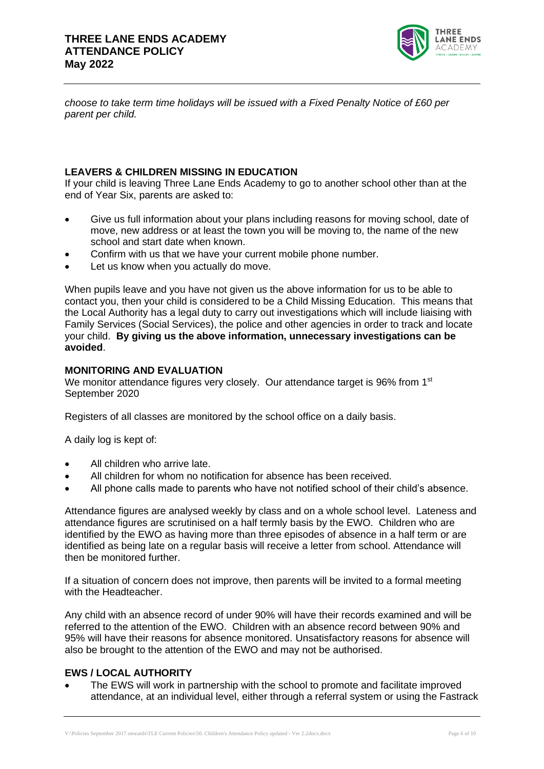

*choose to take term time holidays will be issued with a Fixed Penalty Notice of £60 per parent per child.*

## **LEAVERS & CHILDREN MISSING IN EDUCATION**

If your child is leaving Three Lane Ends Academy to go to another school other than at the end of Year Six, parents are asked to:

- Give us full information about your plans including reasons for moving school, date of move, new address or at least the town you will be moving to, the name of the new school and start date when known.
- Confirm with us that we have your current mobile phone number.
- Let us know when you actually do move.

When pupils leave and you have not given us the above information for us to be able to contact you, then your child is considered to be a Child Missing Education. This means that the Local Authority has a legal duty to carry out investigations which will include liaising with Family Services (Social Services), the police and other agencies in order to track and locate your child. **By giving us the above information, unnecessary investigations can be avoided**.

# **MONITORING AND EVALUATION**

We monitor attendance figures very closely. Our attendance target is 96% from 1<sup>st</sup> September 2020

Registers of all classes are monitored by the school office on a daily basis.

A daily log is kept of:

- All children who arrive late.
- All children for whom no notification for absence has been received.
- All phone calls made to parents who have not notified school of their child's absence.

Attendance figures are analysed weekly by class and on a whole school level. Lateness and attendance figures are scrutinised on a half termly basis by the EWO. Children who are identified by the EWO as having more than three episodes of absence in a half term or are identified as being late on a regular basis will receive a letter from school. Attendance will then be monitored further.

If a situation of concern does not improve, then parents will be invited to a formal meeting with the Headteacher.

Any child with an absence record of under 90% will have their records examined and will be referred to the attention of the EWO. Children with an absence record between 90% and 95% will have their reasons for absence monitored. Unsatisfactory reasons for absence will also be brought to the attention of the EWO and may not be authorised.

#### **EWS / LOCAL AUTHORITY**

• The EWS will work in partnership with the school to promote and facilitate improved attendance, at an individual level, either through a referral system or using the Fastrack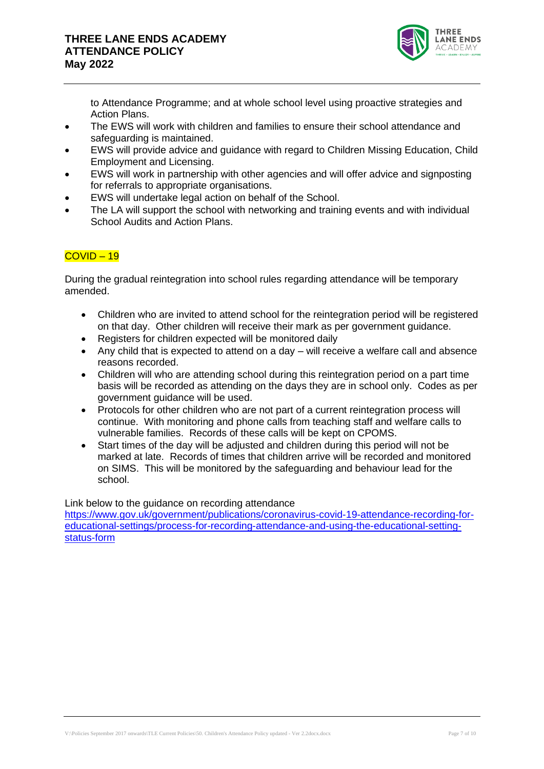

to Attendance Programme; and at whole school level using proactive strategies and Action Plans.

- The EWS will work with children and families to ensure their school attendance and safeguarding is maintained.
- EWS will provide advice and guidance with regard to Children Missing Education, Child Employment and Licensing.
- EWS will work in partnership with other agencies and will offer advice and signposting for referrals to appropriate organisations.
- EWS will undertake legal action on behalf of the School.
- The LA will support the school with networking and training events and with individual School Audits and Action Plans.

## COVID – 19

During the gradual reintegration into school rules regarding attendance will be temporary amended.

- Children who are invited to attend school for the reintegration period will be registered on that day. Other children will receive their mark as per government guidance.
- Registers for children expected will be monitored daily
- Any child that is expected to attend on a day will receive a welfare call and absence reasons recorded.
- Children will who are attending school during this reintegration period on a part time basis will be recorded as attending on the days they are in school only. Codes as per government guidance will be used.
- Protocols for other children who are not part of a current reintegration process will continue. With monitoring and phone calls from teaching staff and welfare calls to vulnerable families. Records of these calls will be kept on CPOMS.
- Start times of the day will be adjusted and children during this period will not be marked at late. Records of times that children arrive will be recorded and monitored on SIMS. This will be monitored by the safeguarding and behaviour lead for the school.

Link below to the guidance on recording attendance

[https://www.gov.uk/government/publications/coronavirus-covid-19-attendance-recording-for](https://www.gov.uk/government/publications/coronavirus-covid-19-attendance-recording-for-educational-settings/process-for-recording-attendance-and-using-the-educational-setting-status-form)[educational-settings/process-for-recording-attendance-and-using-the-educational-setting](https://www.gov.uk/government/publications/coronavirus-covid-19-attendance-recording-for-educational-settings/process-for-recording-attendance-and-using-the-educational-setting-status-form)[status-form](https://www.gov.uk/government/publications/coronavirus-covid-19-attendance-recording-for-educational-settings/process-for-recording-attendance-and-using-the-educational-setting-status-form)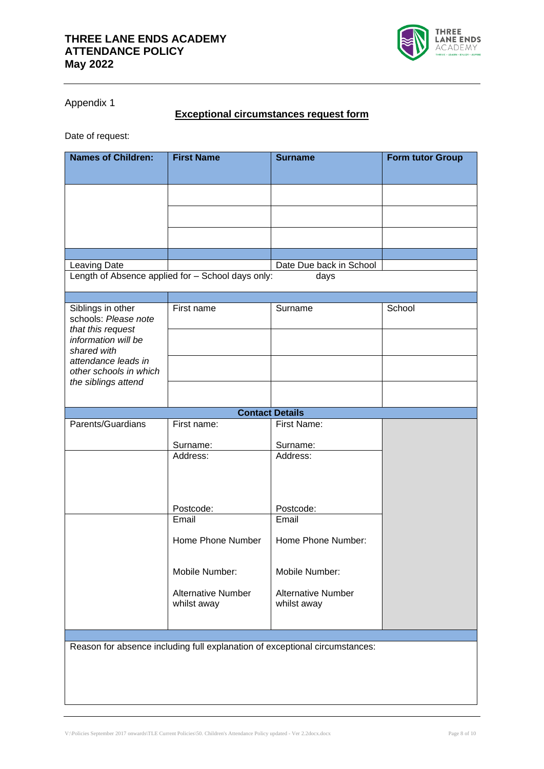

Appendix 1

# **Exceptional circumstances request form**

Date of request:

| <b>Names of Children:</b>                                                   | <b>First Name</b>                                 | <b>Surname</b>            | <b>Form tutor Group</b> |  |
|-----------------------------------------------------------------------------|---------------------------------------------------|---------------------------|-------------------------|--|
|                                                                             |                                                   |                           |                         |  |
|                                                                             |                                                   |                           |                         |  |
|                                                                             |                                                   |                           |                         |  |
|                                                                             |                                                   |                           |                         |  |
|                                                                             |                                                   |                           |                         |  |
| Leaving Date                                                                |                                                   | Date Due back in School   |                         |  |
|                                                                             | Length of Absence applied for - School days only: | days                      |                         |  |
|                                                                             |                                                   |                           |                         |  |
| Siblings in other<br>schools: Please note<br>that this request              | First name                                        | Surname                   | School                  |  |
| information will be<br>shared with                                          |                                                   |                           |                         |  |
| attendance leads in<br>other schools in which                               |                                                   |                           |                         |  |
| the siblings attend                                                         |                                                   |                           |                         |  |
|                                                                             |                                                   | <b>Contact Details</b>    |                         |  |
| Parents/Guardians                                                           | First name:                                       | First Name:               |                         |  |
|                                                                             |                                                   |                           |                         |  |
|                                                                             | Surname:<br>Address:                              | Surname:<br>Address:      |                         |  |
|                                                                             |                                                   |                           |                         |  |
|                                                                             |                                                   |                           |                         |  |
|                                                                             |                                                   |                           |                         |  |
|                                                                             |                                                   |                           |                         |  |
|                                                                             | Postcode:<br>Email                                | Postcode:<br>Email        |                         |  |
|                                                                             |                                                   |                           |                         |  |
|                                                                             | Home Phone Number                                 | Home Phone Number:        |                         |  |
|                                                                             | Mobile Number:                                    | Mobile Number:            |                         |  |
|                                                                             | <b>Alternative Number</b>                         | <b>Alternative Number</b> |                         |  |
|                                                                             | whilst away                                       | whilst away               |                         |  |
|                                                                             |                                                   |                           |                         |  |
| Reason for absence including full explanation of exceptional circumstances: |                                                   |                           |                         |  |
|                                                                             |                                                   |                           |                         |  |
|                                                                             |                                                   |                           |                         |  |
|                                                                             |                                                   |                           |                         |  |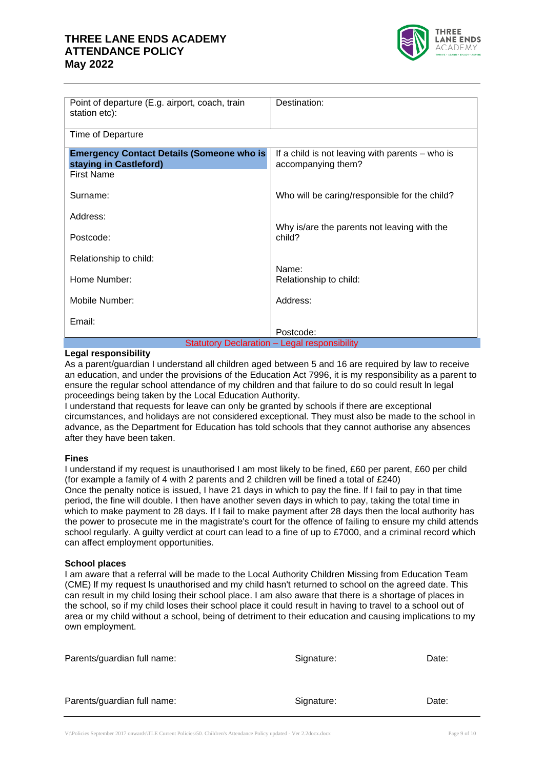# **THREE LANE ENDS ACADEMY ATTENDANCE POLICY May 2022**



| Point of departure (E.g. airport, coach, train<br>station etc):                                 | Destination:                                                          |  |  |
|-------------------------------------------------------------------------------------------------|-----------------------------------------------------------------------|--|--|
| Time of Departure                                                                               |                                                                       |  |  |
| <b>Emergency Contact Details (Someone who is</b><br>staying in Castleford)<br><b>First Name</b> | If a child is not leaving with parents - who is<br>accompanying them? |  |  |
| Surname:                                                                                        | Who will be caring/responsible for the child?                         |  |  |
| Address:                                                                                        |                                                                       |  |  |
| Postcode:                                                                                       | Why is/are the parents not leaving with the<br>child?                 |  |  |
| Relationship to child:                                                                          |                                                                       |  |  |
| Home Number:                                                                                    | Name:<br>Relationship to child:                                       |  |  |
| Mobile Number:                                                                                  | Address:                                                              |  |  |
| Email:                                                                                          | Postcode:                                                             |  |  |
| <b>Statutory Declaration - Legal responsibility</b>                                             |                                                                       |  |  |

#### **Legal responsibility**

As a parent/guardian I understand all children aged between 5 and 16 are required by law to receive an education, and under the provisions of the Education Act 7996, it is my responsibility as a parent to ensure the regular school attendance of my children and that failure to do so could result ln legal proceedings being taken by the Local Education Authority.

I understand that requests for leave can only be granted by schools if there are exceptional circumstances, and holidays are not considered exceptional. They must also be made to the school in advance, as the Department for Education has told schools that they cannot authorise any absences after they have been taken.

#### **Fines**

I understand if my request is unauthorised I am most likely to be fined, £60 per parent, £60 per child (for example a family of 4 with 2 parents and 2 children will be fined a total of £240) Once the penalty notice is issued, I have 21 days in which to pay the fine. lf I fail to pay in that time period, the fine will double. I then have another seven days in which to pay, taking the total time in which to make payment to 28 days. If I fail to make payment after 28 days then the local authority has the power to prosecute me in the magistrate's court for the offence of failing to ensure my child attends school regularly. A guilty verdict at court can lead to a fine of up to £7000, and a criminal record which can affect employment opportunities.

#### **School places**

I am aware that a referral will be made to the Local Authority Children Missing from Education Team (CME) lf my request ls unauthorised and my child hasn't returned to school on the agreed date. This can result in my child losing their school place. I am also aware that there is a shortage of places in the school, so if my child loses their school place it could result in having to travel to a school out of area or my child without a school, being of detriment to their education and causing implications to my own employment.

| Parents/guardian full name: | Signature: | Date: |
|-----------------------------|------------|-------|
| Parents/guardian full name: | Signature: | Date: |